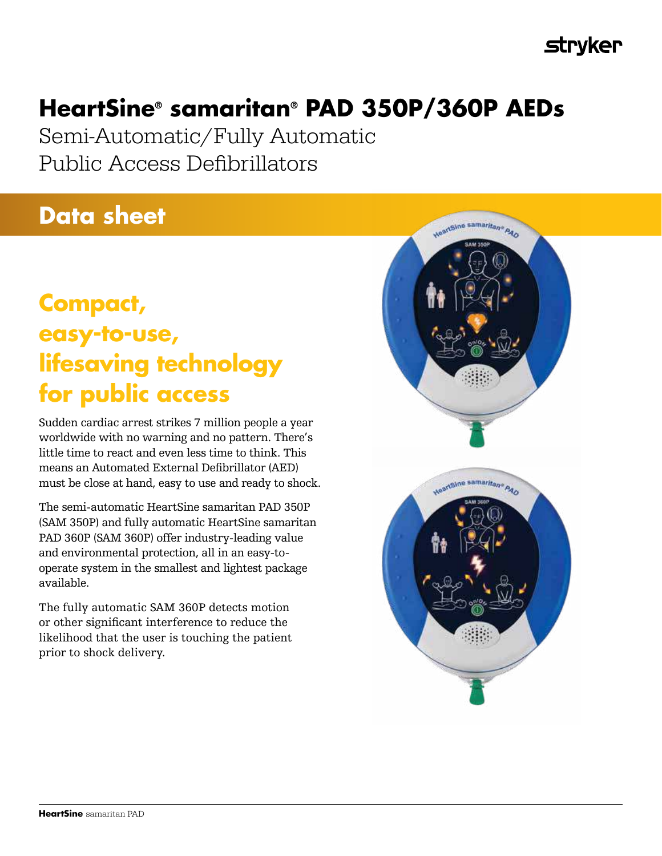# **Stryker**

# **HeartSine® samaritan® PAD 350P/360P AEDs**

Semi-Automatic/Fully Automatic Public Access Defibrillators

# **Data sheet**

# **Compact, easy-to-use, lifesaving technology for public access**

Sudden cardiac arrest strikes 7 million people a year worldwide with no warning and no pattern. There's little time to react and even less time to think. This means an Automated External Defibrillator (AED) must be close at hand, easy to use and ready to shock.

The semi-automatic HeartSine samaritan PAD 350P (SAM 350P) and fully automatic HeartSine samaritan PAD 360P (SAM 360P) offer industry-leading value and environmental protection, all in an easy-tooperate system in the smallest and lightest package available.

The fully automatic SAM 360P detects motion or other significant interference to reduce the likelihood that the user is touching the patient prior to shock delivery.

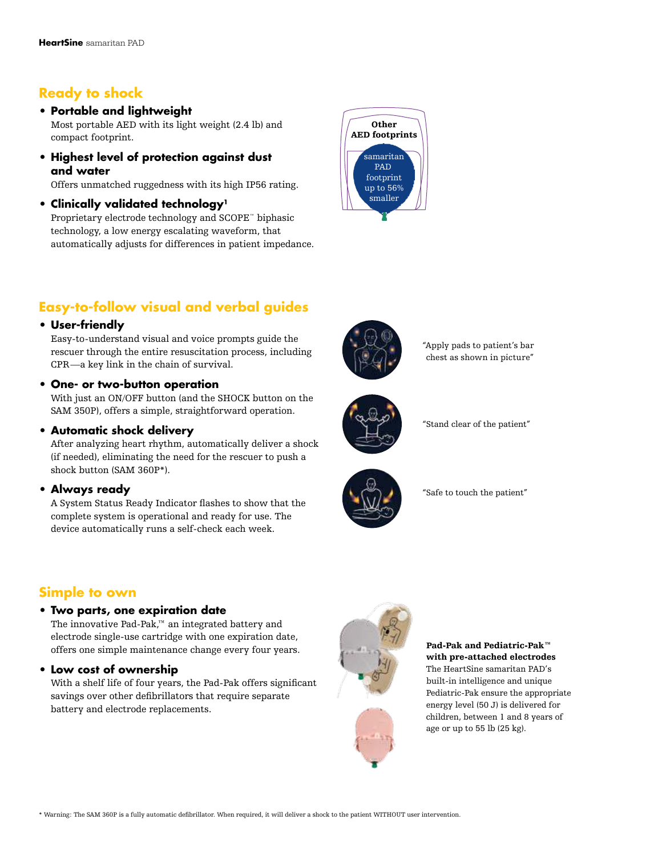# **Ready to shock**

# **• Portable and lightweight**

Most portable AED with its light weight (2.4 lb) and compact footprint.

**• Highest level of protection against dust and water** 

Offers unmatched ruggedness with its high IP56 rating.

**• Clinically validated technology<sup>1</sup>**

Proprietary electrode technology and SCOPE™ biphasic technology, a low energy escalating waveform, that automatically adjusts for differences in patient impedance.



# **Easy-to-follow visual and verbal guides**

# **• User-friendly**

Easy-to-understand visual and voice prompts guide the rescuer through the entire resuscitation process, including CPR—a key link in the chain of survival.

# **• One- or two-button operation**

With just an ON/OFF button (and the SHOCK button on the SAM 350P), offers a simple, straightforward operation.

# **• Automatic shock delivery**

After analyzing heart rhythm, automatically deliver a shock (if needed), eliminating the need for the rescuer to push a shock button (SAM 360P\*).

# **• Always ready**

A System Status Ready Indicator flashes to show that the complete system is operational and ready for use. The device automatically runs a self-check each week.

# **Simple to own**

# **• Two parts, one expiration date**

The innovative Pad-Pak,™ an integrated battery and electrode single-use cartridge with one expiration date, offers one simple maintenance change every four years.

# **• Low cost of ownership**

With a shelf life of four years, the Pad-Pak offers significant savings over other defibrillators that require separate battery and electrode replacements.



# "Apply pads to patient's bar chest as shown in picture"



"Stand clear of the patient"



"Safe to touch the patient"

Pad-Pak and Pediatric-Pak™ with pre-attached electrodes The HeartSine samaritan PAD's built-in intelligence and unique Pediatric-Pak ensure the appropriate energy level (50 J) is delivered for children, between 1 and 8 years of

age or up to 55 lb (25 kg).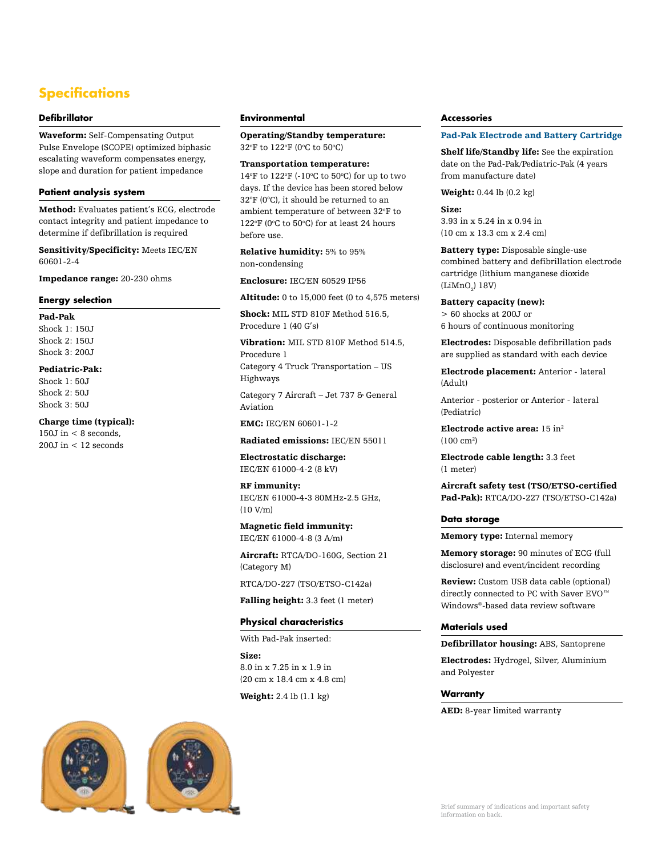# **Specifications**

### **Defibrillator**

Waveform: Self-Compensating Output Pulse Envelope (SCOPE) optimized biphasic escalating waveform compensates energy, slope and duration for patient impedance

#### **Patient analysis system**

Method: Evaluates patient's ECG, electrode contact integrity and patient impedance to determine if defibrillation is required

Sensitivity/Specificity: Meets IEC/EN 60601-2-4

Impedance range: 20-230 ohms

### **Energy selection**

Pad-Pak Shock 1: 150J Shock 2: 150J Shock 3: 200J

## Pediatric-Pak:

Shock 1: 50J Shock 2: 50J Shock 3: 50J

### Charge time (typical):

 $150J$  in  $< 8$  seconds, 200J in < 12 seconds

### **Environmental**

Operating/Standby temperature: 32°F to 122°F (0°C to 50°C)

## Transportation temperature:

14°F to 122°F (-10°C to 50°C) for up to two days. If the device has been stored below  $32^{\circ}$ F (0 $^{\circ}$ C), it should be returned to an ambient temperature of between 32°F to  $122^{\circ}$ F (0 $^{\circ}$ C to 50 $^{\circ}$ C) for at least 24 hours before use.

Relative humidity: 5% to 95% non-condensing

Enclosure: IEC/EN 60529 IP56

Altitude: 0 to 15,000 feet (0 to 4,575 meters)

Shock: MIL STD 810F Method 516.5, Procedure 1 (40 G's)

Vibration: MIL STD 810F Method 514.5, Procedure 1

Category 4 Truck Transportation – US Highways

Category 7 Aircraft – Jet 737 & General Aviation

EMC: IEC/EN 60601-1-2

#### Radiated emissions: IEC/EN 55011

Electrostatic discharge: IEC/EN 61000-4-2 (8 kV)

RF immunity: IEC/EN 61000-4-3 80MHz-2.5 GHz, (10 V/m)

Magnetic field immunity: IEC/EN 61000-4-8 (3 A/m)

Aircraft: RTCA/DO-160G, Section 21 (Category M)

RTCA/DO-227 (TSO/ETSO-C142a)

Falling height: 3.3 feet (1 meter)

#### **Physical characteristics**

With Pad-Pak inserted:

Size: 8.0 in x 7.25 in x 1.9 in (20 cm x 18.4 cm x 4.8 cm)

Weight: 2.4 lb (1.1 kg)

#### **Accessories**

#### Pad-Pak Electrode and Battery Cartridge

Shelf life/Standby life: See the expiration date on the Pad-Pak/Pediatric-Pak (4 years from manufacture date)

Weight: 0.44 lb (0.2 kg)

### Size:

3.93 in x 5.24 in x 0.94 in (10 cm x 13.3 cm x 2.4 cm)

Battery type: Disposable single-use combined battery and defibrillation electrode cartridge (lithium manganese dioxide (Li $\text{MnO}_2$ ) 18V)

Battery capacity (new): > 60 shocks at 200J or 6 hours of continuous monitoring

Electrodes: Disposable defibrillation pads are supplied as standard with each device

Electrode placement: Anterior - lateral (Adult)

Anterior - posterior or Anterior - lateral (Pediatric)

Electrode active area:  $15 \ \mathrm{in^2}$  $(100 \text{ cm}^2)$ 

Electrode cable length: 3.3 feet (1 meter)

Aircraft safety test (TSO/ETSO-certified Pad-Pak): RTCA/DO-227 (TSO/ETSO-C142a)

#### **Data storage**

Memory type: Internal memory

Memory storage: 90 minutes of ECG (full disclosure) and event/incident recording

Review: Custom USB data cable (optional) directly connected to PC with Saver EVO™ Windows®-based data review software

## **Materials used**

Defibrillator housing: ABS, Santoprene

Electrodes: Hydrogel, Silver, Aluminium and Polyester

## **Warranty**

AED: 8-year limited warranty